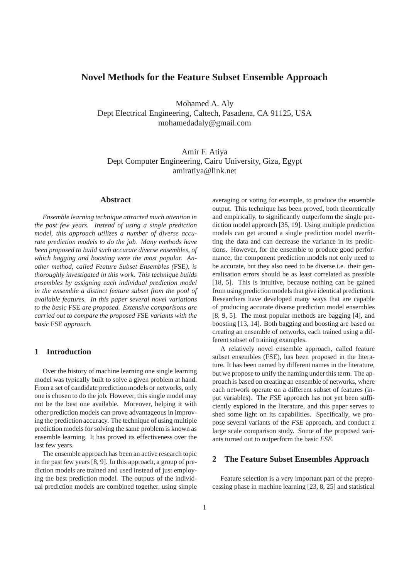# **Novel Methods for the Feature Subset Ensemble Approach**

Mohamed A. Aly Dept Electrical Engineering, Caltech, Pasadena, CA 91125, USA mohamedadaly@gmail.com

Amir F. Atiya Dept Computer Engineering, Cairo University, Giza, Egypt amiratiya@link.net

# **Abstract**

*Ensemble learning technique attracted much attention in the past few years. Instead of using a single prediction model, this approach utilizes a number of diverse accurate prediction models to do the job. Many methods have been proposed to build such accurate diverse ensembles, of which bagging and boosting were the most popular. Another method, called Feature Subset Ensembles (*FSE*), is thoroughly investigated in this work. This technique builds ensembles by assigning each individual prediction model in the ensemble a distinct feature subset from the pool of available features. In this paper several novel variations to the basic* FSE *are proposed. Extensive comparisons are carried out to compare the proposed* FSE *variants with the basic* FSE *approach.*

# **1 Introduction**

Over the history of machine learning one single learning model was typically built to solve a given problem at hand. From a set of candidate prediction models or networks, only one is chosen to do the job. However, this single model may not be the best one available. Moreover, helping it with other prediction models can prove advantageous in improving the prediction accuracy. The technique of using multiple prediction models for solving the same problem is known as ensemble learning. It has proved its effectiveness over the last few years.

The ensemble approach has been an active research topic in the past few years [8, 9]. In this approach, a group of prediction models are trained and used instead of just employing the best prediction model. The outputs of the individual prediction models are combined together, using simple averaging or voting for example, to produce the ensemble output. This technique has been proved, both theoretically and empirically, to significantly outperform the single prediction model approach [35, 19]. Using multiple prediction models can get around a single prediction model overfitting the data and can decrease the variance in its predictions. However, for the ensemble to produce good performance, the component prediction models not only need to be accurate, but they also need to be diverse i.e. their generalisation errors should be as least correlated as possible [18, 5]. This is intuitive, because nothing can be gained from using prediction models that give identical predictions. Researchers have developed many ways that are capable of producing accurate diverse prediction model ensembles [8, 9, 5]. The most popular methods are bagging [4], and boosting [13, 14]. Both bagging and boosting are based on creating an ensemble of networks, each trained using a different subset of training examples.

A relatively novel ensemble approach, called feature subset ensembles (FSE), has been proposed in the literature. It has been named by different names in the literature, but we propose to unify the naming under this term. The approach is based on creating an ensemble of networks, where each network operate on a different subset of features (input variables). The *FSE* approach has not yet been sufficiently explored in the literature, and this paper serves to shed some light on its capabilities. Specifically, we propose several variants of the *FSE* approach, and conduct a large scale comparison study. Some of the proposed variants turned out to outperform the basic *FSE*.

### **2 The Feature Subset Ensembles Approach**

Feature selection is a very important part of the preprocessing phase in machine learning [23, 8, 25] and statistical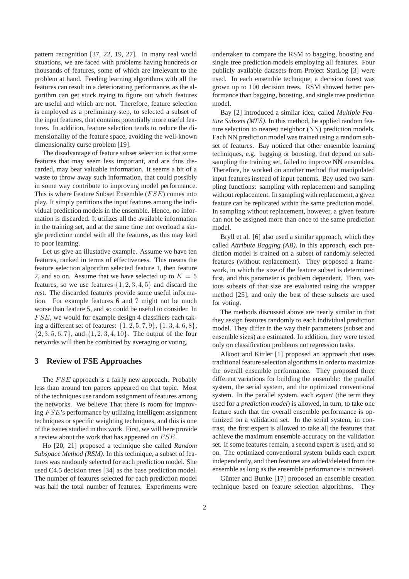pattern recognition [37, 22, 19, 27]. In many real world situations, we are faced with problems having hundreds or thousands of features, some of which are irrelevant to the problem at hand. Feeding learning algorithms with all the features can result in a deteriorating performance, as the algorithm can get stuck trying to figure out which features are useful and which are not. Therefore, feature selection is employed as a preliminary step, to selected a subset of the input features, that contains potentially more useful features. In addition, feature selection tends to reduce the dimensionality of the feature space, avoiding the well-known dimensionality curse problem [19].

The disadvantage of feature subset selection is that some features that may seem less important, and are thus discarded, may bear valuable information. It seems a bit of a waste to throw away such information, that could possibly in some way contribute to improving model performance. This is where Feature Subset Ensemble (FSE) comes into play. It simply partitions the input features among the individual prediction models in the ensemble. Hence, no information is discarded. It utilizes all the available information in the training set, and at the same time not overload a single prediction model with all the features, as this may lead to poor learning.

Let us give an illustative example. Assume we have ten features, ranked in terms of effectiveness. This means the feature selection algorithm selected feature 1, then feature 2, and so on. Assume that we have selected up to  $K = 5$ features, so we use features  $\{1, 2, 3, 4, 5\}$  and discard the rest. The discarded features provide some useful information. For example features 6 and 7 might not be much worse than feature 5, and so could be useful to consider. In FSE, we would for example design 4 classifiers each taking a different set of features:  $\{1, 2, 5, 7, 9\}, \{1, 3, 4, 6, 8\},\$  $\{2, 3, 5, 6, 7\}$ , and  $\{1, 2, 3, 4, 10\}$ . The output of the four networks will then be combined by averaging or voting.

### **3 Review of FSE Approaches**

The FSE approach is a fairly new approach. Probably less than around ten papers appeared on that topic. Most of the techniques use random assignment of features among the networks. We believe That there is room for improving FSE's performance by utilizing intelligent assignment techniques or specific weighting techniques, and this is one of the issues studied in this work. First, we will here provide a review about the work that has appeared on FSE.

Ho [20, 21] proposed a technique she called *Random Subspace Method (RSM)*. In this technique, a subset of features was randomly selected for each prediction model. She used C4.5 decision trees [34] as the base prediction model. The number of features selected for each prediction model was half the total number of features. Experiments were undertaken to compare the RSM to bagging, boosting and single tree prediction models employing all features. Four publicly available datasets from Project StatLog [3] were used. In each ensemble technique, a decision forest was grown up to 100 decision trees. RSM showed better performance than bagging, boosting, and single tree prediction model.

Bay [2] introduced a similar idea, called *Multiple Feature Subsets (MFS)*. In this method, he applied random feature selection to nearest neighbor (NN) prediction models. Each NN prediction model was trained using a random subset of features. Bay noticed that other ensemble learning techniques, e.g. bagging or boosting, that depend on subsampling the training set, failed to improve NN ensembles. Therefore, he worked on another method that manipulated input features instead of input patterns. Bay used two sampling functions: sampling with replacement and sampling without replacement. In sampling with replacement, a given feature can be replicated within the same prediction model. In sampling without replacement, however, a given feature can not be assigned more than once to the same prediction model.

Bryll et al. [6] also used a similar approach, which they called *Attribute Bagging (AB)*. In this approach, each prediction model is trained on a subset of randomly selected features (without replacement). They proposed a framework, in which the size of the feature subset is determined first, and this parameter is problem dependent. Then, various subsets of that size are evaluated using the wrapper method [25], and only the best of these subsets are used for voting.

The methods discussed above are nearly similar in that they assign features randomly to each individual prediction model. They differ in the way their parameters (subset and ensemble sizes) are estimated. In addition, they were tested only on classification problems not regression tasks.

Alkoot and Kittler [1] proposed an approach that uses traditional feature selection algorithms in order to maximize the overall ensemble performance. They proposed three different variations for building the ensemble: the parallel system, the serial system, and the optimized conventional system. In the parallel system, each *expert* (the term they used for a *prediction model*) is allowed, in turn, to take one feature such that the overall ensemble performance is optimized on a validation set. In the serial system, in contrast, the first expert is allowed to take all the features that achieve the maximum ensemble accuracy on the validation set. If some features remain, a second expert is used, and so on. The optimized conventional system builds each expert independently, and then features are added/deleted from the ensemble as long as the ensemble performance is increased.

Günter and Bunke [17] proposed an ensemble creation technique based on feature selection algorithms. They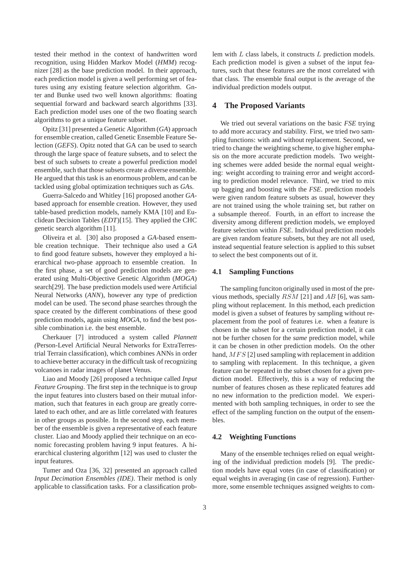tested their method in the context of handwritten word recognition, using Hidden Markov Model (*HMM*) recognizer [28] as the base prediction model. In their approach, each prediction model is given a well performing set of features using any existing feature selection algorithm. Gnter and Bunke used two well known algorithms: floating sequential forward and backward search algorithms [33]. Each prediction model uses one of the two floating search algorithms to get a unique feature subset.

Opitz [31] presented a Genetic Algorithm (*GA*) approach for ensemble creation, called Genetic Ensemble Feature Selection (*GEFS*). Opitz noted that GA can be used to search through the large space of feature subsets, and to select the best of such subsets to create a powerful prediction model ensemble, such that those subsets create a diverse ensemble. He argued that this task is an enormous problem, and can be tackled using global optimization techniques such as *GA*s.

Guerra-Salcedo and Whitley [16] proposed another *GA*based approach for ensemble creation. However, they used table-based prediction models, namely KMA [10] and Euclidean Decision Tables (*EDT*)[15]. They applied the CHC genetic search algorithm [11].

Oliveira et al. [30] also proposed a *GA*-based ensemble creation technique. Their technique also used a *GA* to find good feature subsets, however they employed a hierarchical two-phase approach to ensemble creation. In the first phase, a set of good prediction models are generated using Multi-Objective Genetic Algorithm (*MOGA*) search[29]. The base prediction models used were Artificial Neural Networks (*ANN*), however any type of prediction model can be used. The second phase searches through the space created by the different combinations of these good prediction models, again using *MOGA*, to find the best possible combination i.e. the best ensemble.

Cherkauer [7] introduced a system called *Plannett (*Person-Level Artificial Neural Networks for ExtraTerrestrial Terrain classification), which combines ANNs in order to achieve better accuracy in the difficult task of recognizing volcanoes in radar images of planet Venus.

Liao and Moody [26] proposed a technique called *Input Feature Grouping*. The first step in the technique is to group the input features into clusters based on their mutual information, such that features in each group are greatly correlated to each other, and are as little correlated with features in other groups as possible. In the second step, each member of the ensemble is given a representative of each feature cluster. Liao and Moody applied their technique on an economic forecasting problem having 9 input features. A hierarchical clustering algorithm [12] was used to cluster the input features.

Tumer and Oza [36, 32] presented an approach called *Input Decimation Ensembles (IDE)*. Their method is only applicable to classification tasks. For a classification problem with L class labels, it constructs L prediction models. Each prediction model is given a subset of the input features, such that these features are the most correlated with that class. The ensemble final output is the average of the individual prediction models output.

# **4 The Proposed Variants**

We tried out several variations on the basic *FSE* trying to add more accuracy and stability. First, we tried two sampling functions: with and without replacement. Second, we tried to change the weighting scheme, to give higher emphasis on the more accurate prediction models. Two weighting schemes were added beside the normal equal weighting: weight according to training error and weight according to prediction model relevance. Third, we tried to mix up bagging and boosting with the *FSE*. prediction models were given random feature subsets as usual, however they are not trained using the whole training set, but rather on a subsample thereof. Fourth, in an effort to increase the diversity among different prediction models, we employed feature selection within *FSE*. Individual prediction models are given random feature subsets, but they are not all used, instead sequential feature selection is applied to this subset to select the best components out of it.

#### **4.1 Sampling Functions**

The sampling funciton originally used in most of the previous methods, specially  $RSM$  [21] and AB [6], was sampling without replacement. In this method, each prediction model is given a subset of features by sampling without replacement from the pool of features i.e. when a feature is chosen in the subset for a certain prediction model, it can not be further chosen for the *same* prediction model, while it can be chosen in other prediction models. On the other hand, MFS [2] used sampling with replacement in addition to sampling with replacement. In this technique, a given feature can be repeated in the subset chosen for a given prediction model. Effectively, this is a way of reducing the number of features chosen as these replicated features add no new information to the prediction model. We experimented with both sampling techniques, in order to see the effect of the sampling function on the output of the ensembles.

#### **4.2 Weighting Functions**

Many of the ensemble techniqes relied on equal weighting of the individual prediction models [9]. The prediction models have equal votes (in case of classification) or equal weights in averaging (in case of regression). Furthermore, some ensemble techniques assigned weights to com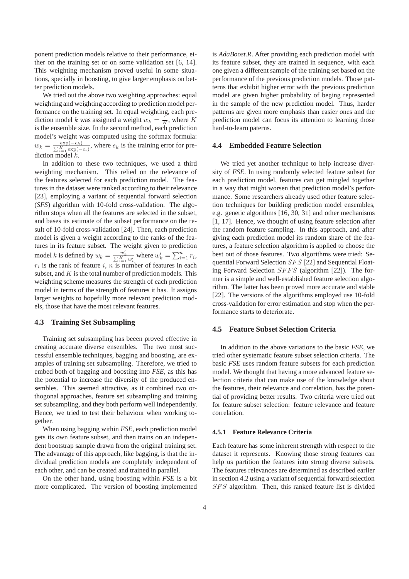ponent prediction models relative to their performance, either on the training set or on some validation set [6, 14]. This weighting mechanism proved useful in some situations, specially in boosting, to give larger emphasis on better prediction models.

We tried out the above two weighting approaches: equal weighting and weighting according to prediction model performance on the training set. In equal weighting, each prediction model k was assigned a weight  $w_k = \frac{1}{K}$ , where K is the ensemble size. In the second method, each prediction model's weight was computed using the softmax formula:  $w_k = \frac{\exp(-e_k)}{\sum_{k=1}^{K} \exp(-e_k)}$  $\frac{\exp(-e_k)}{\sum_{i=1}^K \exp(-e_i)}$ , where  $e_k$  is the training error for prediction model k.

In addition to these two techniques, we used a third weighting mechanism. This relied on the relevance of the features selected for each prediction model. The features in the dataset were ranked according to their relevance [23], employing a variant of sequential forward selection (*SFS*) algorithm with 10-fold cross-validation. The algorithm stops when all the features are selected in the subset, and bases its estimate of the subset performance on the result of 10-fold cross-validation [24]. Then, each prediction model is given a weight according to the ranks of the features in its feature subset. The weight given to prediction model k is defined by  $w_k = \frac{w'_k}{\sum_{i=1}^K w'_i}$  where  $w'_k = \sum_{i=1}^n r_i$ ,  $r_i$  is the rank of feature i, n is number of features in each subset, and  $K$  is the total number of prediction models. This weighting scheme measures the strength of each prediction model in terms of the strength of features it has. It assigns larger weights to hopefully more relevant prediction models, those that have the most relevant features.

# **4.3 Training Set Subsampling**

Training set subsampling has beeen proved effective in creating accurate diverse ensembles. The two most successful ensemble techniques, bagging and boosting, are examples of training set subsampling. Therefore, we tried to embed both of bagging and boosting into *FSE*, as this has the potential to increase the diversity of the produced ensembles. This seemed attractive, as it combined two orthogonal approaches, feature set subsampling and training set subsampling, and they both perform well independently. Hence, we tried to test their behaviour when working together.

When using bagging within *FSE*, each prediction model gets its own feature subset, and then trains on an independent bootstrap sample drawn from the original training set. The advantage of this approach, like bagging, is that the individual prediction models are completely independent of each other, and can be created and trained in parallel.

On the other hand, using boosting within *FSE* is a bit more complicated. The version of boosting implemented is *AdaBoost.R*. After providing each prediction model with its feature subset, they are trained in sequence, with each one given a different sample of the training set based on the performance of the previous prediction models. Those patterns that exhibit higher error with the previous prediction model are given higher probability of beging represented in the sample of the new prediction model. Thus, harder patterns are given more emphasis than easier ones and the prediction model can focus its attention to learning those hard-to-learn paterns.

#### **4.4 Embedded Feature Selection**

We tried yet another technique to help increase diversity of *FSE*. In using randomly selected feature subset for each prediction model, features can get mingled together in a way that might worsen that prediction model's performance. Some researchers already used other feature selection techniques for building prediction model ensembles, e.g. genetic algorithms [16, 30, 31] and other mechanisms [1, 17]. Hence, we thought of using feature selection after the random feature sampling. In this approach, and after giving each prediction model its random share of the features, a feature selection algorithm is applied to choose the best out of those features. Two algorithms were tried: Sequential Forward Selection SFS [22] and Sequential Floating Forward Selection SFFS (algorithm [22]). The former is a simple and well-established feature selection algorithm. The latter has been proved more accurate and stable [22]. The versions of the algorithms employed use 10-fold cross-validation for error estimation and stop when the performance starts to deteriorate.

# **4.5 Feature Subset Selection Criteria**

In addition to the above variations to the basic *FSE*, we tried other systematic feature subset selection criteria. The basic *FSE* uses random feature subsets for each prediction model. We thought that having a more advanced feature selection criteria that can make use of the knowledge about the features, their relevance and correlation, has the potential of providing better results. Two criteria were tried out for feature subset selection: feature relevance and feature correlation.

#### **4.5.1 Feature Relevance Criteria**

Each feature has some inherent strength with respect to the dataset it represents. Knowing those strong features can help us partition the features into strong diverse subsets. The features relevances are determined as described earlier in section 4.2 using a variant of sequential forward selection SFS algorithm. Then, this ranked feature list is divided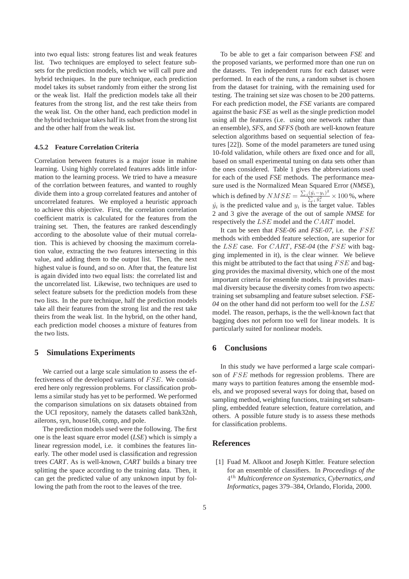into two equal lists: strong features list and weak features list. Two techniques are employed to select feature subsets for the prediction models, which we will call pure and hybrid techniques. In the pure technique, each prediction model takes its subset randomly from either the strong list or the weak list. Half the prediction models take all their features from the strong list, and the rest take theirs from the weak list. On the other hand, each prediction model in the hybrid technique takes half its subset from the strong list and the other half from the weak list.

# **4.5.2 Feature Correlation Criteria**

Correlation between features is a major issue in mahine learning. Using highly correlated features adds little information to the learning process. We tried to have a measure of the corrlation between features, and wanted to roughly divide them into a group correlated features and antoher of uncorrelated features. We employed a heuristic approach to achieve this objective. First, the correlation correlation coefficient matrix is calculated for the features from the training set. Then, the features are ranked descendingly according to the abosolute value of their mutual correlation. This is achieved by choosing the maximum correlation value, extracting the two features intersecting in this value, and adding them to the output list. Then, the next highest value is found, and so on. After that, the feature list is again divided into two equal lists: the correlated list and the uncorrelated list. Likewise, two techniques are used to select feature subsets for the prediction models from these two lists. In the pure technique, half the prediction models take all their features from the strong list and the rest take theirs from the weak list. In the hybrid, on the other hand, each prediction model chooses a mixture of features from the two lists.

### **5 Simulations Experiments**

We carried out a large scale simulation to assess the effectiveness of the developed variants of FSE. We considered here only regression problems. For classification problems a similar study has yet to be performed. We performed the comparison simulations on six datasets obtained from the UCI repository, namely the datasets called bank32nh, ailerons, syn, house16h, comp, and pole.

The prediction models used were the following. The first one is the least square error model (*LSE*) which is simply a linear regression model, i.e. it combines the features linearly. The other model used is classification and regression trees *CART*. As is well-known, *CART* builds a binary tree splitting the space according to the training data. Then, it can get the predicted value of any unknown input by following the path from the root to the leaves of the tree.

To be able to get a fair comparison between *FSE* and the proposed variants, we performed more than one run on the datasets. Ten independent runs for each dataset were performed. In each of the runs, a random subset is chosen from the dataset for training, with the remaining used for testing. The training set size was chosen to be 200 patterns. For each prediction model, the *FSE* variants are compared against the basic *FSE* as well as the single prediction model using all the features (i.e. using one network rather than an ensemble), *SFS*, and *SFFS* (both are well-known feature selection algorithms based on sequential selection of features [22]). Some of the model parameters are tuned using 10-fold validation, while others are fixed once and for all, based on small experimental tuning on data sets other than the ones considered. Table 1 gives the abbreviations used for each of the used *FSE* methods. The performance measure used is the Normalized Mean Squared Error (*NMSE*), which is defined by  $NMSE = \frac{\sum_i (\hat{y}_i - y_i)^2}{\sum_i \hat{y}_i^2}$  $\frac{(\hat{y}_i - y_i)^2}{\sum_i \hat{y}_i^2} \times 100\%$ , where  $\hat{y}_i$  is the predicted value and  $y_i$  is the target value. Tables 2 and 3 give the average of the out of sample *NMSE* for respectively the LSE model and the CART model.

It can be seen that *FSE-06* and *FSE-07*, i.e. the FSE methods with embedded feature selection, are superior for the LSE case. For CART , *FSE-04* (the FSE with bagging implemented in it), is the clear winner. We believe this might be attributed to the fact that using  $FSE$  and bagging provides the maximal diversity, which one of the most important criteria for ensemble models. It provides maximal diversity because the diversity comes from two aspects: training set subsampling and feature subset selection. *FSE-04* on the other hand did not perform too well for the LSE model. The reason, perhaps, is the the well-known fact that bagging does not peform too well for linear models. It is particularly suited for nonlinear models.

# **6 Conclusions**

In this study we have performed a large scale comparison of FSE methods for regression problems. There are many ways to partition features among the ensemble models, and we proposed several ways for doing that, based on sampling method, weighting functions, training set subsampling, embedded feature selection, feature correlation, and others. A possible future study is to assess these methods for classification problems.

### **References**

[1] Fuad M. Alkoot and Joseph Kittler. Feature selection for an ensemble of classifiers. In *Proceedings of the* 4 th *Multiconference on Systematics, Cybernatics, and Informatics*, pages 379–384, Orlando, Florida, 2000.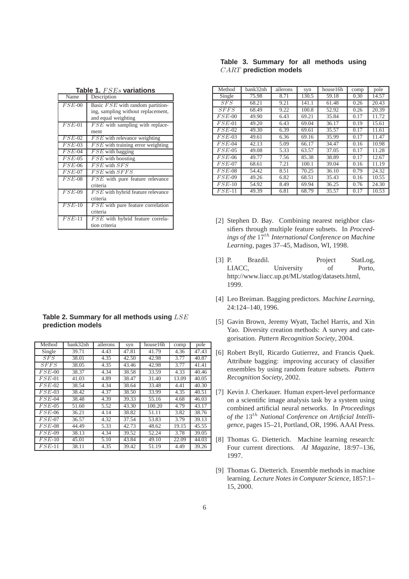|  | Table 3. Summary for all methods using |  |  |
|--|----------------------------------------|--|--|
|  | <b>CART</b> prediction models          |  |  |

| Method   | bank32nh           | ailerons | syn   | house16h | comp | pole  |
|----------|--------------------|----------|-------|----------|------|-------|
| Single   | 75.98              | 8.71     | 130.5 | 59.18    | 0.30 | 14.57 |
| SFS      | 68.21              | 9.21     | 141.1 | 61.48    | 0.26 | 20.43 |
| SFFS     | 68.49              | 9.22     | 100.8 | 52.92    | 0.26 | 20.39 |
| $FSE-00$ | 49.90              | 6.43     | 69.21 | 35.84    | 0.17 | 11.72 |
| $FSE-01$ | 49.20              | 6.43     | 69.04 | 36.17    | 0.19 | 15.61 |
| $FSE-02$ | 49.30              | 6.39     | 69.61 | 35.57    | 0.17 | 11.61 |
| $FSE-03$ | 49.61              | 6.36     | 69.16 | 35.99    | 0.17 | 11.47 |
| $FSE-04$ | 42.13              | 5.09     | 66.17 | 34.47    | 0.16 | 10.98 |
| $FSE-05$ | 49.08              | 5.33     | 63.57 | 37.05    | 0.17 | 11.28 |
| $FSE-06$ | 49.77              | 7.56     | 85.38 | 38.89    | 0.17 | 12.67 |
| $FSE-07$ | 68.61              | 7.21     | 100.1 | 39.04    | 0.16 | 11.19 |
| $FSE-08$ | 54.42              | 8.51     | 70.25 | 36.10    | 0.79 | 24.32 |
| $FSE-09$ | $\overline{49.26}$ | 6.82     | 68.51 | 35.43    | 0.16 | 10.55 |
| $FSE-10$ | 54.92              | 8.49     | 69.94 | 36.25    | 0.76 | 24.30 |
| $FSE-11$ | 49.39              | 6.81     | 68.79 | 35.57    | 0.17 | 10.53 |

- [2] Stephen D. Bay. Combining nearest neighbor classifiers through multiple feature subsets. In *Proceedings of the* 17th *International Conference on Machine Learning*, pages 37–45, Madison, WI, 1998.
- [3] P. Brazdil. Project StatLog, LIACC, University of Porto, http://www.liacc.up.pt/ML/statlog/datasets.html, 1999.
- [4] Leo Breiman. Bagging predictors. *Machine Learning*, 24:124–140, 1996.
- [5] Gavin Brown, Jeremy Wyatt, Tachel Harris, and Xin Yao. Diversity creation methods: A survey and categorisation. *Pattern Recognition Society*, 2004.
- [6] Robert Bryll, Ricardo Gutierrez, and Francis Quek. Attribute bagging: improving accuracy of classifier ensembles by using random feature subsets. *Pattern Recognition Society*, 2002.
- [7] Kevin J. Cherkauer. Human expert-level performance on a scientific image analysis task by a system using combined artificial neural networks. In *Proceedings of the* 13th *National Conference on Artificial Intelligence*, pages 15–21, Portland, OR, 1996. AAAI Press.
- [8] Thomas G. Dietterich. Machine learning research: Four current directions. *AI Magazine*, 18:97–136, 1997.
- [9] Thomas G. Dietterich. Ensemble methods in machine learning. *Lecture Notes in Computer Science*, 1857:1– 15, 2000.

| IUMIV<br>$\mathbf{u} \cdot \mathbf{v}$ |                                          |  |  |  |  |  |
|----------------------------------------|------------------------------------------|--|--|--|--|--|
| Name                                   | Description                              |  |  |  |  |  |
| $FSE-00$                               | Basic FSE with random partition-         |  |  |  |  |  |
|                                        | ing, sampling without replacement,       |  |  |  |  |  |
|                                        | and equal weighting                      |  |  |  |  |  |
| $FSE-01$                               | $FSE$ with sampling with replace-        |  |  |  |  |  |
|                                        | ment                                     |  |  |  |  |  |
| $FSE-02$                               | $FSE$ with relevance weighting           |  |  |  |  |  |
| $FSE-03$                               | $FSE$ with training error weighting      |  |  |  |  |  |
| $FSE-04$                               | $FSE$ with bagging                       |  |  |  |  |  |
| $FSE-05$                               | $FSE$ with boosting                      |  |  |  |  |  |
| $FSE-06$                               | $\overline{FSE}$ with $\overline{S}FS$   |  |  |  |  |  |
| $FSE-07$                               | $FSE$ with $SFFS$                        |  |  |  |  |  |
| $FSE-08$                               | FSE with pure feature relevance          |  |  |  |  |  |
|                                        | criteria                                 |  |  |  |  |  |
| $FSE-09$                               | FSE with hybrid feature relevance        |  |  |  |  |  |
|                                        | criteria                                 |  |  |  |  |  |
| $FSE-10$                               | <i>FSE</i> with pure feature correlation |  |  |  |  |  |
|                                        | criteria                                 |  |  |  |  |  |
| $FSE-11$                               | FSE with hybrid feature correla-         |  |  |  |  |  |
|                                        | tion criteria                            |  |  |  |  |  |

**Table 1.** FSEs **variations**

| Table 2. Summary for all methods using LSE |  |
|--------------------------------------------|--|
| prediction models                          |  |

| Method   | bank32nh | ailerons | syn   | house16h | comp  | pole  |
|----------|----------|----------|-------|----------|-------|-------|
| Single   | 39.71    | 4.43     | 47.81 | 41.79    | 4.36  | 47.43 |
| SFS      | 38.01    | 4.35     | 42.50 | 42.98    | 3.77  | 40.87 |
| SFFS     | 38.05    | 4.35     | 43.46 | 42.98    | 3.77  | 41.41 |
| $FSE-00$ | 38.37    | 4.34     | 38.58 | 33.59    | 4.33  | 40.46 |
| $FSE-01$ | 41.03    | 4.89     | 38.47 | 31.40    | 13.09 | 40.05 |
| $FSE-02$ | 38.54    | 4.34     | 38.64 | 33.48    | 4.41  | 40.30 |
| $FSE-03$ | 38.42    | 4.37     | 38.50 | 33.99    | 4.35  | 40.51 |
| $FSE-04$ | 38.48    | 4.39     | 39.33 | 55.16    | 4.68  | 46.03 |
| $FSE-05$ | 51.60    | 5.52     | 43.30 | 100.20   | 4.79  | 43.17 |
| $FSE-06$ | 36.21    | 4.14     | 38.82 | 51.11    | 3.82  | 38.76 |
| $FSE-07$ | 36.57    | 4.32     | 37.54 | 53.83    | 3.79  | 39.13 |
| $FSE-08$ | 44.49    | 5.33     | 42.73 | 48.62    | 19.15 | 45.55 |
| $FSE-09$ | 38.13    | 4.34     | 39.52 | 52.24    | 3.78  | 39.05 |
| $FSE-10$ | 45.01    | 5.10     | 43.84 | 49.10    | 22.09 | 44.03 |
| $FSE-11$ | 38.11    | 4.35     | 39.42 | 51.19    | 4.49  | 39.26 |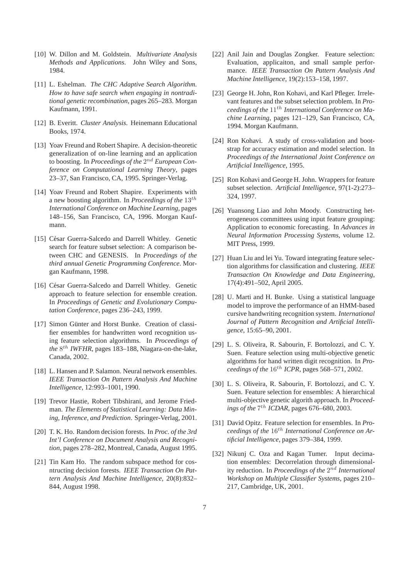- [10] W. Dillon and M. Goldstein. *Multivariate Analysis Methods and Applications*. John Wiley and Sons, 1984.
- [11] L. Eshelman. *The CHC Adaptive Search Algorithm. How to have safe search when engaging in nontraditional genetic recombination*, pages 265–283. Morgan Kaufmann, 1991.
- [12] B. Everitt. *Cluster Analysis*. Heinemann Educational Books, 1974.
- [13] Yoav Freund and Robert Shapire. A decision-theoretic generalization of on-line learning and an application to boosting. In Proceedings of the  $2^{nd}$  European Con*ference on Computational Learning Theory*, pages 23–37, San Francisco, CA, 1995. Springer-Verlag.
- [14] Yoav Freund and Robert Shapire. Experiments with a new boosting algorithm. In *Proceedings of the* 13th *International Conference on Machine Learning*, pages 148–156, San Francisco, CA, 1996. Morgan Kaufmann.
- [15] César Guerra-Salcedo and Darrell Whitley. Genetic search for feature subset selection: A comparison between CHC and GENESIS. In *Proceedings of the third annual Genetic Programming Conference*. Morgan Kaufmann, 1998.
- [16] César Guerra-Salcedo and Darrell Whitley. Genetic approach to feature selection for ensemble creation. In *Proceedings of Genetic and Evolutionary Computation Conference*, pages 236–243, 1999.
- [17] Simon Günter and Horst Bunke. Creation of classifier ensembles for handwritten word recognition using feature selection algorithms. In *Proceedings of* the 8<sup>th</sup> IWFHR, pages 183–188, Niagara-on-the-lake, Canada, 2002.
- [18] L. Hansen and P. Salamon. Neural network ensembles. *IEEE Transaction On Pattern Analysis And Machine Intelligence*, 12:993–1001, 1990.
- [19] Trevor Hastie, Robert Tibshirani, and Jerome Friedman. *The Elements of Statistical Learning: Data Mining, Inference, and Prediction*. Springer-Verlag, 2001.
- [20] T. K. Ho. Random decision forests. In *Proc. of the 3rd Int'l Conference on Document Analysis and Recognition*, pages 278–282, Montreal, Canada, August 1995.
- [21] Tin Kam Ho. The random subspace method for cosntructing decision forests. *IEEE Transaction On Pattern Analysis And Machine Intelligence*, 20(8):832– 844, August 1998.
- [22] Anil Jain and Douglas Zongker. Feature selection: Evaluation, applicaiton, and small sample performance. *IEEE Transaction On Pattern Analysis And Machine Intelligence*, 19(2):153–158, 1997.
- [23] George H. John, Ron Kohavi, and Karl Pfleger. Irrelevant features and the subset selection problem. In *Pro*ceedings of the 11<sup>th</sup> International Conference on Ma*chine Learning*, pages 121–129, San Francisco, CA, 1994. Morgan Kaufmann.
- [24] Ron Kohavi. A study of cross-validation and bootstrap for accuracy estimation and model selection. In *Proceedings of the International Joint Conference on Artificial Intelligence*, 1995.
- [25] Ron Kohavi and George H. John. Wrappers for feature subset selection. *Artificial Intelligence*, 97(1-2):273– 324, 1997.
- [26] Yuansong Liao and John Moody. Constructing heterogeneuos committees using input feature grouping: Application to economic forecasting. In *Advances in Neural Information Processing Systems*, volume 12. MIT Press, 1999.
- [27] Huan Liu and lei Yu. Toward integrating feature selection algorithms for classification and clustering. *IEEE Transaction On Knowledge and Data Engineering*, 17(4):491–502, April 2005.
- [28] U. Marti and H. Bunke. Using a statistical language model to improve the performance of an HMM-based cursive handwriting recognition system. *International Journal of Pattern Recognition and Artificial Intelligence*, 15:65–90, 2001.
- [29] L. S. Oliveira, R. Sabourin, F. Bortolozzi, and C. Y. Suen. Feature selection using multi-objective genetic algorithms for hand written digit recognition. In *Proceedings of the* 16th *ICPR*, pages 568–571, 2002.
- [30] L. S. Oliveira, R. Sabourin, F. Bortolozzi, and C. Y. Suen. Feature selection for ensembles: A hierarchical multi-objective genetic algorith approach. In *Proceed* $i$ ngs of the  $7^{th}$  *ICDAR*, pages 676–680, 2003.
- [31] David Opitz. Feature selection for ensembles. In *Pro*ceedings of the 16<sup>th</sup> International Conference on Ar*tificial Intelligence*, pages 379–384, 1999.
- [32] Nikunj C. Oza and Kagan Tumer. Input decimation ensembles: Decorrelation through dimensionality reduction. In *Proceedings of the*  $2^{nd}$  *International Workshop on Multiple Classifier Systems*, pages 210– 217, Cambridge, UK, 2001.